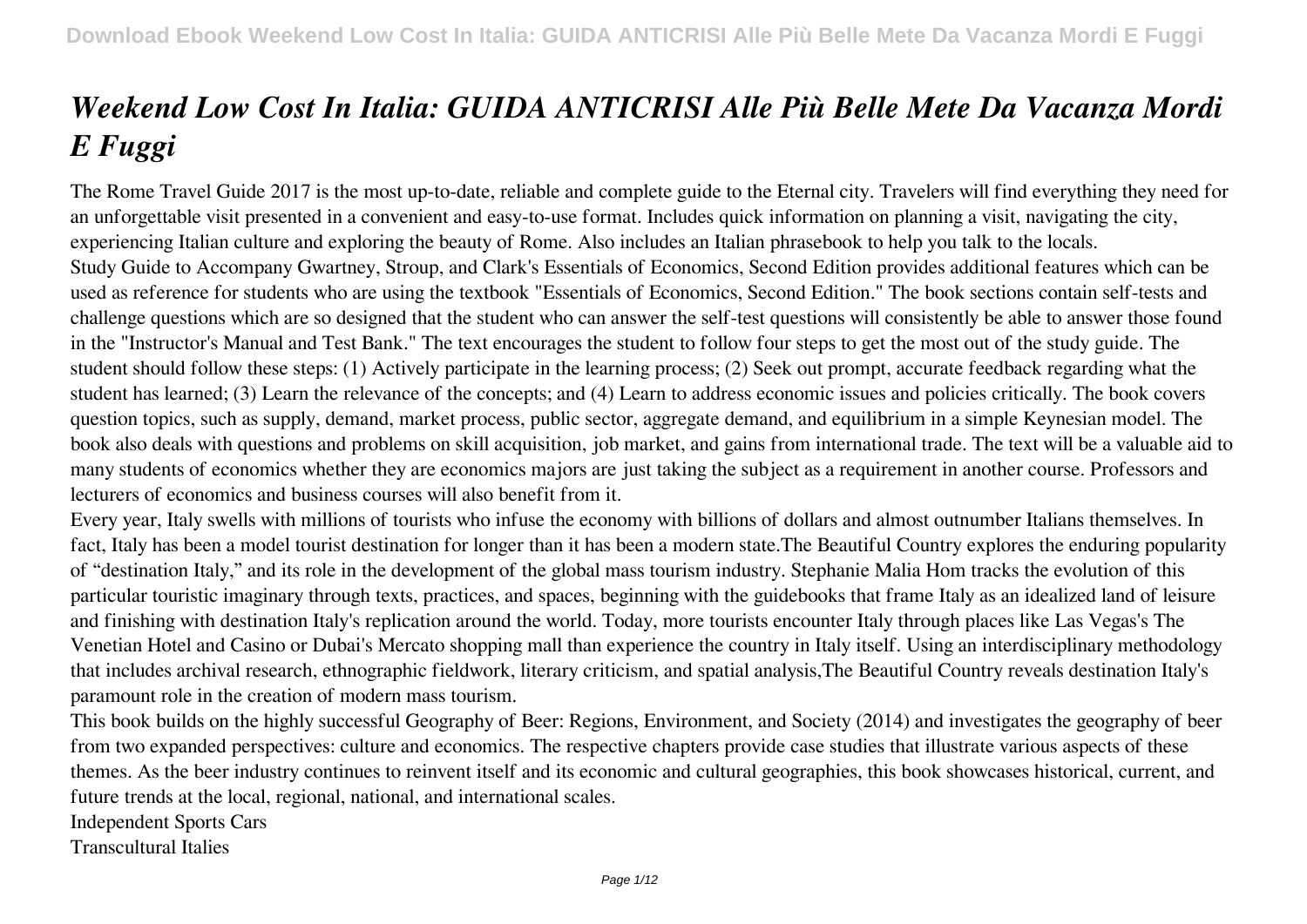## *Weekend Low Cost In Italia: GUIDA ANTICRISI Alle Più Belle Mete Da Vacanza Mordi E Fuggi*

The Rome Travel Guide 2017 is the most up-to-date, reliable and complete guide to the Eternal city. Travelers will find everything they need for an unforgettable visit presented in a convenient and easy-to-use format. Includes quick information on planning a visit, navigating the city, experiencing Italian culture and exploring the beauty of Rome. Also includes an Italian phrasebook to help you talk to the locals. Study Guide to Accompany Gwartney, Stroup, and Clark's Essentials of Economics, Second Edition provides additional features which can be used as reference for students who are using the textbook "Essentials of Economics, Second Edition." The book sections contain self-tests and challenge questions which are so designed that the student who can answer the self-test questions will consistently be able to answer those found in the "Instructor's Manual and Test Bank." The text encourages the student to follow four steps to get the most out of the study guide. The student should follow these steps: (1) Actively participate in the learning process; (2) Seek out prompt, accurate feedback regarding what the student has learned; (3) Learn the relevance of the concepts; and (4) Learn to address economic issues and policies critically. The book covers question topics, such as supply, demand, market process, public sector, aggregate demand, and equilibrium in a simple Keynesian model. The book also deals with questions and problems on skill acquisition, job market, and gains from international trade. The text will be a valuable aid to many students of economics whether they are economics majors are just taking the subject as a requirement in another course. Professors and lecturers of economics and business courses will also benefit from it.

Every year, Italy swells with millions of tourists who infuse the economy with billions of dollars and almost outnumber Italians themselves. In fact, Italy has been a model tourist destination for longer than it has been a modern state.The Beautiful Country explores the enduring popularity of "destination Italy," and its role in the development of the global mass tourism industry. Stephanie Malia Hom tracks the evolution of this particular touristic imaginary through texts, practices, and spaces, beginning with the guidebooks that frame Italy as an idealized land of leisure and finishing with destination Italy's replication around the world. Today, more tourists encounter Italy through places like Las Vegas's The Venetian Hotel and Casino or Dubai's Mercato shopping mall than experience the country in Italy itself. Using an interdisciplinary methodology that includes archival research, ethnographic fieldwork, literary criticism, and spatial analysis,The Beautiful Country reveals destination Italy's paramount role in the creation of modern mass tourism.

This book builds on the highly successful Geography of Beer: Regions, Environment, and Society (2014) and investigates the geography of beer from two expanded perspectives: culture and economics. The respective chapters provide case studies that illustrate various aspects of these themes. As the beer industry continues to reinvent itself and its economic and cultural geographies, this book showcases historical, current, and future trends at the local, regional, national, and international scales.

Independent Sports Cars

Transcultural Italies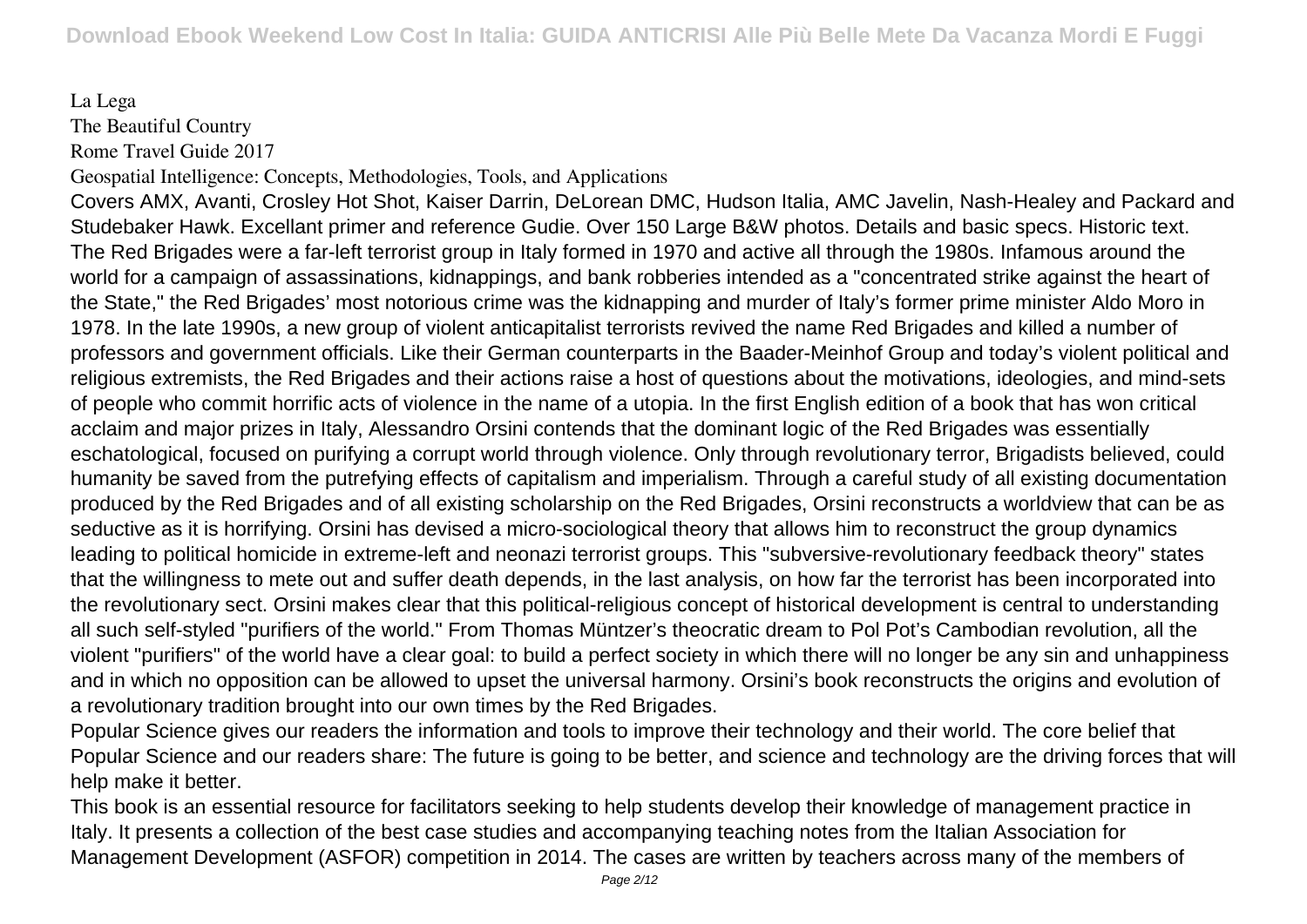## La Lega The Beautiful Country Rome Travel Guide 2017

Geospatial Intelligence: Concepts, Methodologies, Tools, and Applications

Covers AMX, Avanti, Crosley Hot Shot, Kaiser Darrin, DeLorean DMC, Hudson Italia, AMC Javelin, Nash-Healey and Packard and Studebaker Hawk. Excellant primer and reference Gudie. Over 150 Large B&W photos. Details and basic specs. Historic text. The Red Brigades were a far-left terrorist group in Italy formed in 1970 and active all through the 1980s. Infamous around the world for a campaign of assassinations, kidnappings, and bank robberies intended as a "concentrated strike against the heart of the State," the Red Brigades' most notorious crime was the kidnapping and murder of Italy's former prime minister Aldo Moro in 1978. In the late 1990s, a new group of violent anticapitalist terrorists revived the name Red Brigades and killed a number of professors and government officials. Like their German counterparts in the Baader-Meinhof Group and today's violent political and religious extremists, the Red Brigades and their actions raise a host of questions about the motivations, ideologies, and mind-sets of people who commit horrific acts of violence in the name of a utopia. In the first English edition of a book that has won critical acclaim and major prizes in Italy, Alessandro Orsini contends that the dominant logic of the Red Brigades was essentially eschatological, focused on purifying a corrupt world through violence. Only through revolutionary terror, Brigadists believed, could humanity be saved from the putrefying effects of capitalism and imperialism. Through a careful study of all existing documentation produced by the Red Brigades and of all existing scholarship on the Red Brigades, Orsini reconstructs a worldview that can be as seductive as it is horrifying. Orsini has devised a micro-sociological theory that allows him to reconstruct the group dynamics leading to political homicide in extreme-left and neonazi terrorist groups. This "subversive-revolutionary feedback theory" states that the willingness to mete out and suffer death depends, in the last analysis, on how far the terrorist has been incorporated into the revolutionary sect. Orsini makes clear that this political-religious concept of historical development is central to understanding all such self-styled "purifiers of the world." From Thomas Müntzer's theocratic dream to Pol Pot's Cambodian revolution, all the violent "purifiers" of the world have a clear goal: to build a perfect society in which there will no longer be any sin and unhappiness and in which no opposition can be allowed to upset the universal harmony. Orsini's book reconstructs the origins and evolution of a revolutionary tradition brought into our own times by the Red Brigades.

Popular Science gives our readers the information and tools to improve their technology and their world. The core belief that Popular Science and our readers share: The future is going to be better, and science and technology are the driving forces that will help make it better.

This book is an essential resource for facilitators seeking to help students develop their knowledge of management practice in Italy. It presents a collection of the best case studies and accompanying teaching notes from the Italian Association for Management Development (ASFOR) competition in 2014. The cases are written by teachers across many of the members of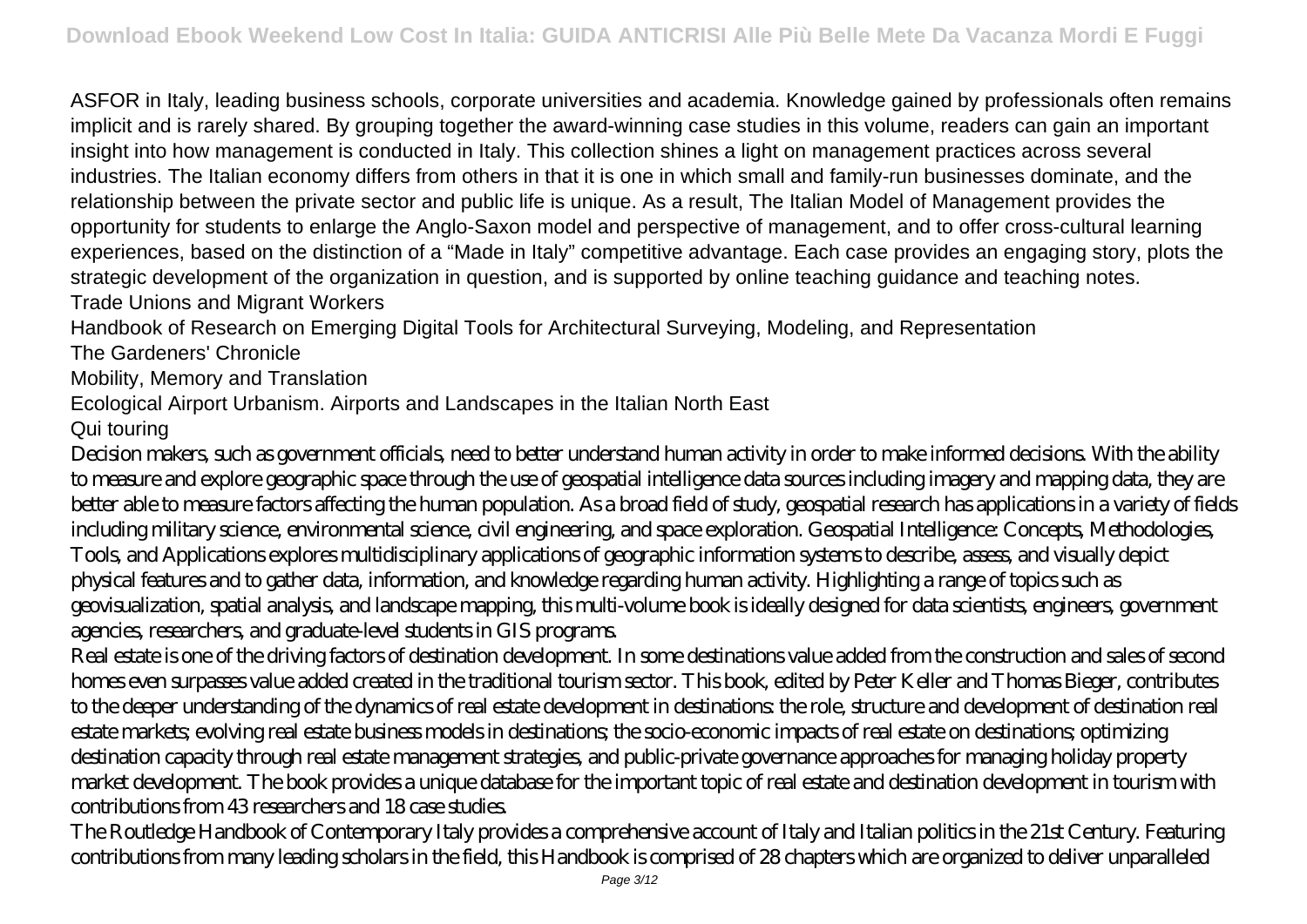ASFOR in Italy, leading business schools, corporate universities and academia. Knowledge gained by professionals often remains implicit and is rarely shared. By grouping together the award-winning case studies in this volume, readers can gain an important insight into how management is conducted in Italy. This collection shines a light on management practices across several industries. The Italian economy differs from others in that it is one in which small and family-run businesses dominate, and the relationship between the private sector and public life is unique. As a result, The Italian Model of Management provides the opportunity for students to enlarge the Anglo-Saxon model and perspective of management, and to offer cross-cultural learning experiences, based on the distinction of a "Made in Italy" competitive advantage. Each case provides an engaging story, plots the strategic development of the organization in question, and is supported by online teaching guidance and teaching notes. Trade Unions and Migrant Workers

Handbook of Research on Emerging Digital Tools for Architectural Surveying, Modeling, and Representation

The Gardeners' Chronicle

Mobility, Memory and Translation

Ecological Airport Urbanism. Airports and Landscapes in the Italian North East

Qui touring

Decision makers, such as government officials, need to better understand human activity in order to make informed decisions. With the ability to measure and explore geographic space through the use of geospatial intelligence data sources including imagery and mapping data, they are better able to measure factors affecting the human population. As a broad field of study, geospatial research has applications in a variety of fields including military science, environmental science, civil engineering, and space exploration. Geospatial Intelligence: Concepts, Methodologies, Tools, and Applications explores multidisciplinary applications of geographic information systems to describe, assess, and visually depict physical features and to gather data, information, and knowledge regarding human activity. Highlighting a range of topics such as geovisualization, spatial analysis, and landscape mapping, this multi-volume book is ideally designed for data scientists, engineers, government agencies, researchers, and graduate-level students in GIS programs.

Real estate is one of the driving factors of destination development. In some destinations value added from the construction and sales of second homes even surpasses value added created in the traditional tourism sector. This book, edited by Peter Keller and Thomas Bieger, contributes to the deeper understanding of the dynamics of real estate development in destinations: the role, structure and development of destination real estate markets; evolving real estate business models in destinations; the socio-economic impacts of real estate on destinations; optimizing destination capacity through real estate management strategies, and public-private governance approaches for managing holiday property market development. The book provides a unique database for the important topic of real estate and destination development in tourism with contributions from 43 researchers and 18 case studies.

The Routledge Handbook of Contemporary Italy provides a comprehensive account of Italy and Italian politics in the 21st Century. Featuring contributions from many leading scholars in the field, this Handbook is comprised of 28 chapters which are organized to deliver unparalleled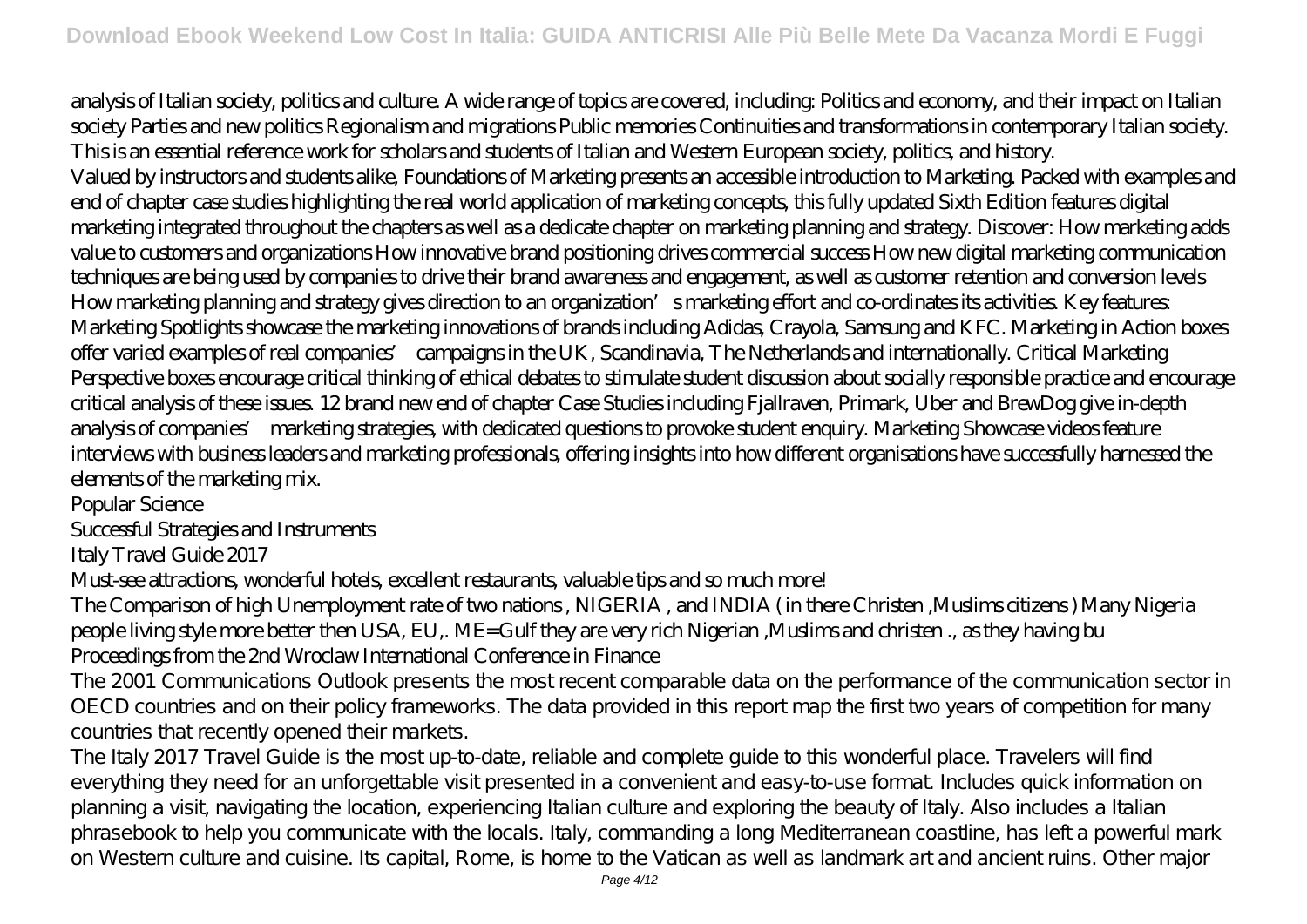analysis of Italian society, politics and culture. A wide range of topics are covered, including: Politics and economy, and their impact on Italian society Parties and new politics Regionalism and migrations Public memories Continuities and transformations in contemporary Italian society. This is an essential reference work for scholars and students of Italian and Western European society, politics, and history.

Valued by instructors and students alike, Foundations of Marketing presents an accessible introduction to Marketing. Packed with examples and end of chapter case studies highlighting the real world application of marketing concepts, this fully updated Sixth Edition features digital marketing integrated throughout the chapters as well as a dedicate chapter on marketing planning and strategy. Discover: How marketing adds value to customers and organizations How innovative brand positioning drives commercial success How new digital marketing communication techniques are being used by companies to drive their brand awareness and engagement, as well as customer retention and conversion levels How marketing planning and strategy gives direction to an organization's marketing effort and co-ordinates its activities. Key features: Marketing Spotlights showcase the marketing innovations of brands including Adidas, Crayola, Samsung and KFC. Marketing in Action boxes offer varied examples of real companies' campaigns in the UK, Scandinavia, The Netherlands and internationally. Critical Marketing Perspective boxes encourage critical thinking of ethical debates to stimulate student discussion about socially responsible practice and encourage critical analysis of these issues. 12 brand new end of chapter Case Studies including Fjallraven, Primark, Uber and BrewDog give in-depth analysis of companies' marketing strategies, with dedicated questions to provoke student enquiry. Marketing Showcase videos feature interviews with business leaders and marketing professionals, offering insights into how different organisations have successfully harnessed the elements of the marketing mix.

Popular Science

Successful Strategies and Instruments

Italy Travel Guide 2017

Must-see attractions, wonderful hotels, excellent restaurants, valuable tips and so much more!

The Comparison of high Unemployment rate of two nations , NIGERIA , and INDIA ( in there Christen ,Muslims citizens ) Many Nigeria people living style more better then USA, EU,. ME=Gulf they are very rich Nigerian ,Muslims and christen ., as they having bu Proceedings from the 2nd Wroclaw International Conference in Finance

The 2001 Communications Outlook presents the most recent comparable data on the performance of the communication sector in OECD countries and on their policy frameworks. The data provided in this report map the first two years of competition for many countries that recently opened their markets.

The Italy 2017 Travel Guide is the most up-to-date, reliable and complete guide to this wonderful place. Travelers will find everything they need for an unforgettable visit presented in a convenient and easy-to-use format. Includes quick information on planning a visit, navigating the location, experiencing Italian culture and exploring the beauty of Italy. Also includes a Italian phrasebook to help you communicate with the locals. Italy, commanding a long Mediterranean coastline, has left a powerful mark on Western culture and cuisine. Its capital, Rome, is home to the Vatican as well as landmark art and ancient ruins. Other major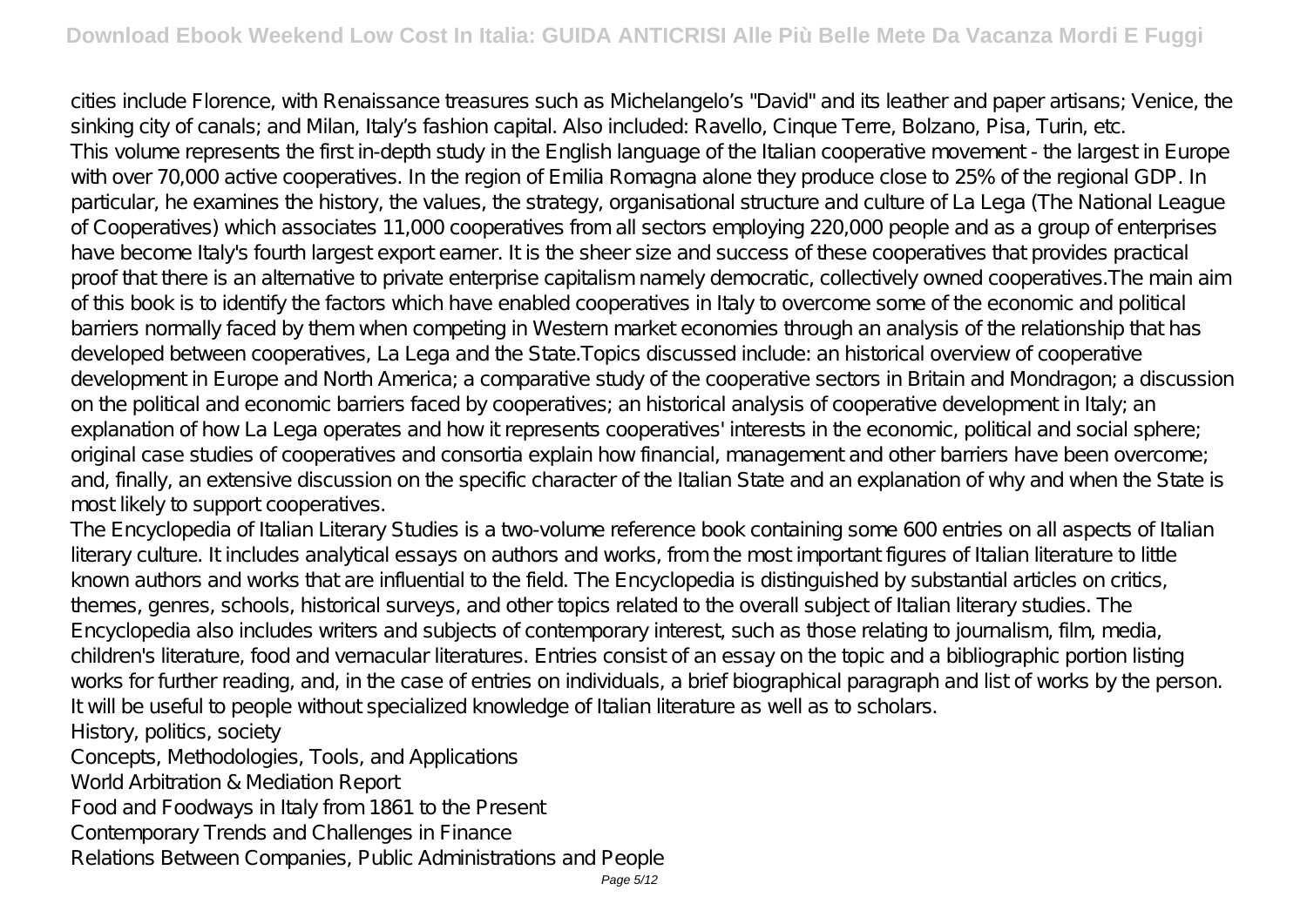cities include Florence, with Renaissance treasures such as Michelangelo's "David" and its leather and paper artisans; Venice, the sinking city of canals; and Milan, Italy's fashion capital. Also included: Ravello, Cinque Terre, Bolzano, Pisa, Turin, etc. This volume represents the first in-depth study in the English language of the Italian cooperative movement - the largest in Europe with over 70,000 active cooperatives. In the region of Emilia Romagna alone they produce close to 25% of the regional GDP. In particular, he examines the history, the values, the strategy, organisational structure and culture of La Lega (The National League of Cooperatives) which associates 11,000 cooperatives from all sectors employing 220,000 people and as a group of enterprises have become Italy's fourth largest export earner. It is the sheer size and success of these cooperatives that provides practical proof that there is an alternative to private enterprise capitalism namely democratic, collectively owned cooperatives. The main aim of this book is to identify the factors which have enabled cooperatives in Italy to overcome some of the economic and political barriers normally faced by them when competing in Western market economies through an analysis of the relationship that has developed between cooperatives, La Lega and the State.Topics discussed include: an historical overview of cooperative development in Europe and North America; a comparative study of the cooperative sectors in Britain and Mondragon; a discussion on the political and economic barriers faced by cooperatives; an historical analysis of cooperative development in Italy; an explanation of how La Lega operates and how it represents cooperatives' interests in the economic, political and social sphere; original case studies of cooperatives and consortia explain how financial, management and other barriers have been overcome; and, finally, an extensive discussion on the specific character of the Italian State and an explanation of why and when the State is most likely to support cooperatives.

The Encyclopedia of Italian Literary Studies is a two-volume reference book containing some 600 entries on all aspects of Italian literary culture. It includes analytical essays on authors and works, from the most important figures of Italian literature to little known authors and works that are influential to the field. The Encyclopedia is distinguished by substantial articles on critics, themes, genres, schools, historical surveys, and other topics related to the overall subject of Italian literary studies. The Encyclopedia also includes writers and subjects of contemporary interest, such as those relating to journalism, film, media, children's literature, food and vernacular literatures. Entries consist of an essay on the topic and a bibliographic portion listing works for further reading, and, in the case of entries on individuals, a brief biographical paragraph and list of works by the person. It will be useful to people without specialized knowledge of Italian literature as well as to scholars. History, politics, society

Concepts, Methodologies, Tools, and Applications

World Arbitration & Mediation Report

Food and Foodways in Italy from 1861 to the Present

Contemporary Trends and Challenges in Finance

Relations Between Companies, Public Administrations and People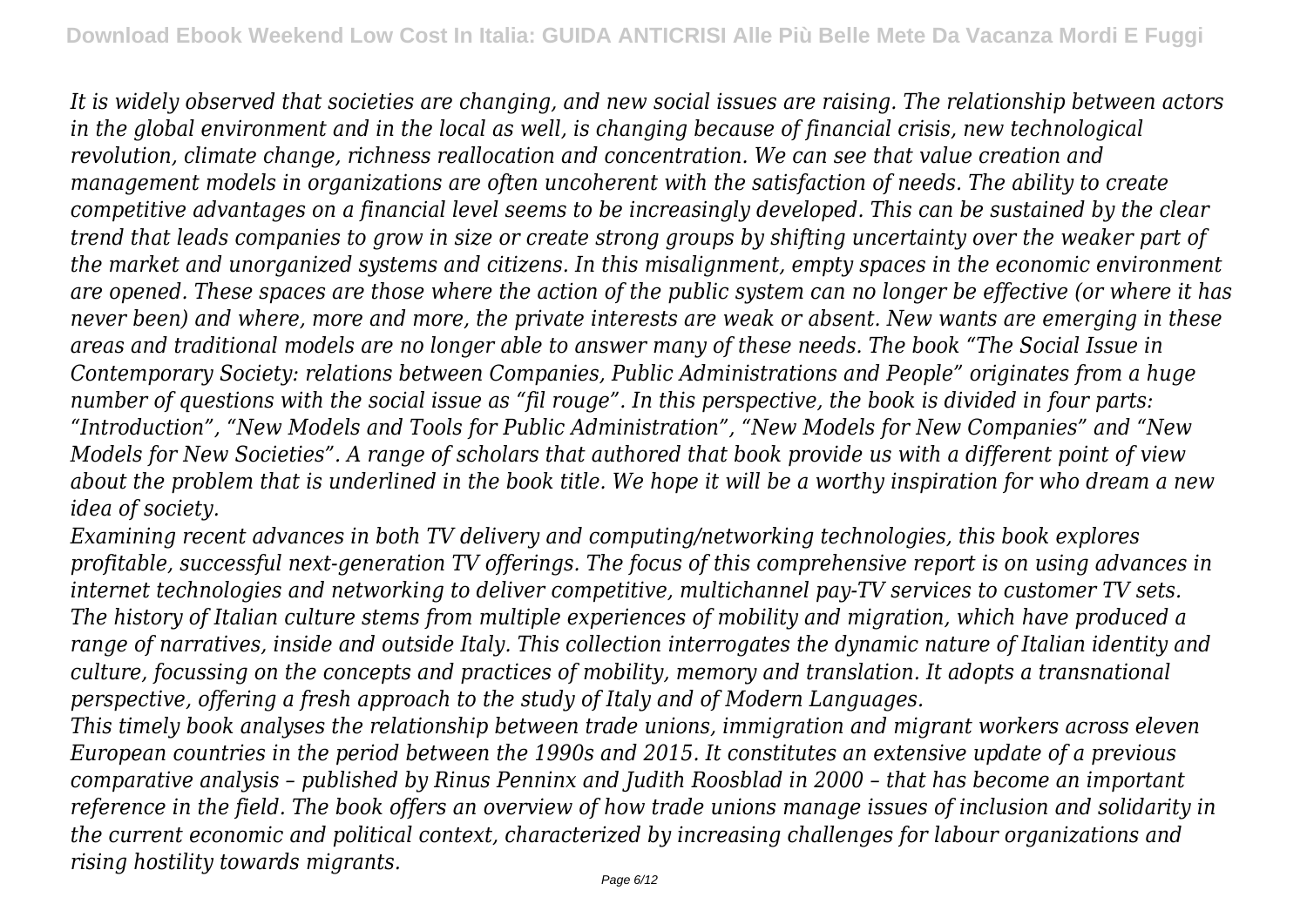*It is widely observed that societies are changing, and new social issues are raising. The relationship between actors in the global environment and in the local as well, is changing because of financial crisis, new technological revolution, climate change, richness reallocation and concentration. We can see that value creation and management models in organizations are often uncoherent with the satisfaction of needs. The ability to create competitive advantages on a financial level seems to be increasingly developed. This can be sustained by the clear trend that leads companies to grow in size or create strong groups by shifting uncertainty over the weaker part of the market and unorganized systems and citizens. In this misalignment, empty spaces in the economic environment are opened. These spaces are those where the action of the public system can no longer be effective (or where it has never been) and where, more and more, the private interests are weak or absent. New wants are emerging in these areas and traditional models are no longer able to answer many of these needs. The book "The Social Issue in Contemporary Society: relations between Companies, Public Administrations and People" originates from a huge number of questions with the social issue as "fil rouge". In this perspective, the book is divided in four parts: "Introduction", "New Models and Tools for Public Administration", "New Models for New Companies" and "New Models for New Societies". A range of scholars that authored that book provide us with a different point of view about the problem that is underlined in the book title. We hope it will be a worthy inspiration for who dream a new idea of society.*

*Examining recent advances in both TV delivery and computing/networking technologies, this book explores profitable, successful next-generation TV offerings. The focus of this comprehensive report is on using advances in internet technologies and networking to deliver competitive, multichannel pay-TV services to customer TV sets. The history of Italian culture stems from multiple experiences of mobility and migration, which have produced a range of narratives, inside and outside Italy. This collection interrogates the dynamic nature of Italian identity and culture, focussing on the concepts and practices of mobility, memory and translation. It adopts a transnational perspective, offering a fresh approach to the study of Italy and of Modern Languages.*

*This timely book analyses the relationship between trade unions, immigration and migrant workers across eleven European countries in the period between the 1990s and 2015. It constitutes an extensive update of a previous comparative analysis – published by Rinus Penninx and Judith Roosblad in 2000 – that has become an important reference in the field. The book offers an overview of how trade unions manage issues of inclusion and solidarity in the current economic and political context, characterized by increasing challenges for labour organizations and rising hostility towards migrants.*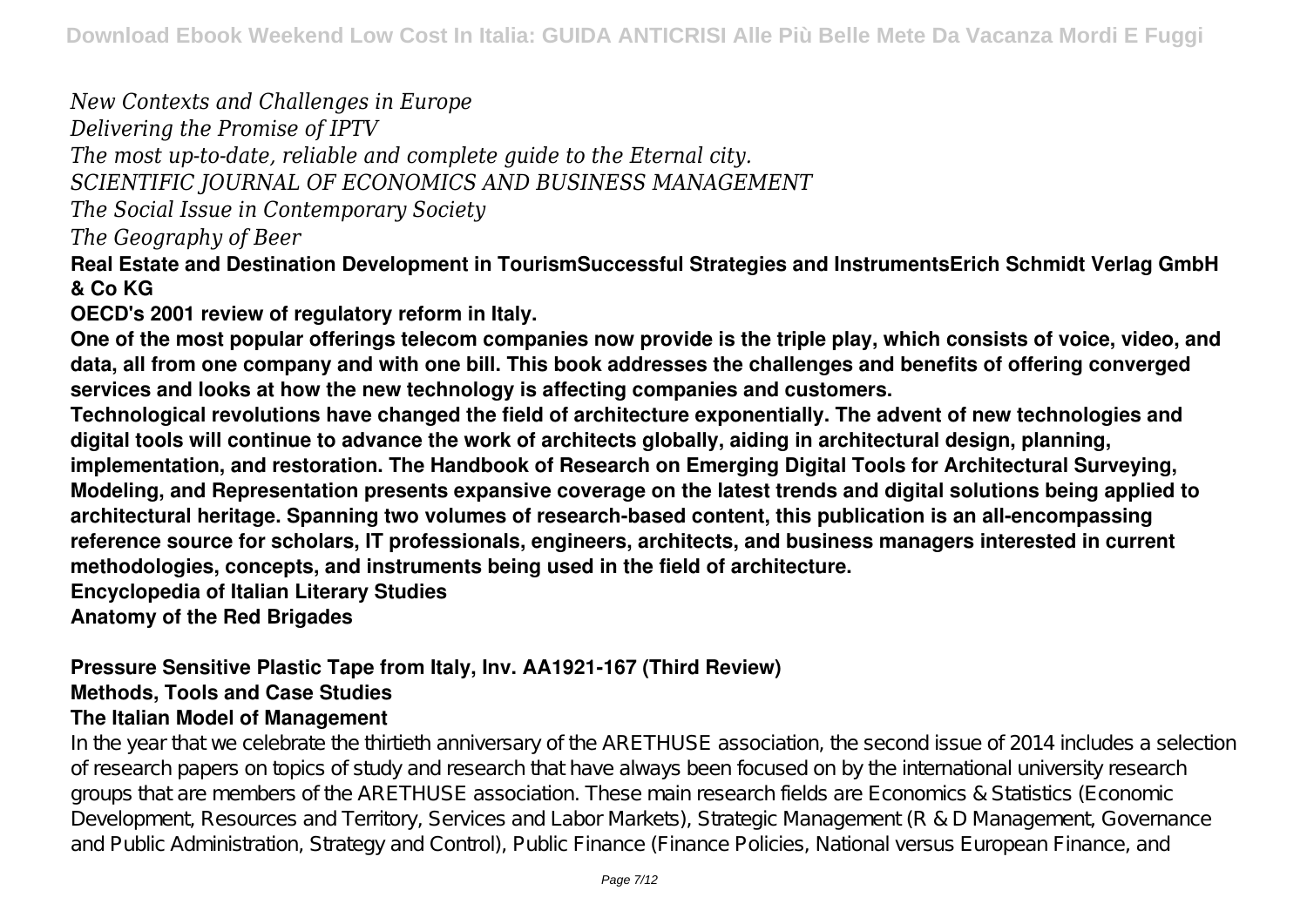*New Contexts and Challenges in Europe*

*Delivering the Promise of IPTV*

*The most up-to-date, reliable and complete guide to the Eternal city.*

*SCIENTIFIC JOURNAL OF ECONOMICS AND BUSINESS MANAGEMENT*

*The Social Issue in Contemporary Society*

*The Geography of Beer*

**Real Estate and Destination Development in TourismSuccessful Strategies and InstrumentsErich Schmidt Verlag GmbH & Co KG**

**OECD's 2001 review of regulatory reform in Italy.**

**One of the most popular offerings telecom companies now provide is the triple play, which consists of voice, video, and data, all from one company and with one bill. This book addresses the challenges and benefits of offering converged services and looks at how the new technology is affecting companies and customers.**

**Technological revolutions have changed the field of architecture exponentially. The advent of new technologies and digital tools will continue to advance the work of architects globally, aiding in architectural design, planning, implementation, and restoration. The Handbook of Research on Emerging Digital Tools for Architectural Surveying, Modeling, and Representation presents expansive coverage on the latest trends and digital solutions being applied to architectural heritage. Spanning two volumes of research-based content, this publication is an all-encompassing reference source for scholars, IT professionals, engineers, architects, and business managers interested in current methodologies, concepts, and instruments being used in the field of architecture.**

**Encyclopedia of Italian Literary Studies**

**Anatomy of the Red Brigades**

## **Pressure Sensitive Plastic Tape from Italy, Inv. AA1921-167 (Third Review) Methods, Tools and Case Studies The Italian Model of Management**

In the year that we celebrate the thirtieth anniversary of the ARETHUSE association, the second issue of 2014 includes a selection of research papers on topics of study and research that have always been focused on by the international university research groups that are members of the ARETHUSE association. These main research fields are Economics & Statistics (Economic Development, Resources and Territory, Services and Labor Markets), Strategic Management (R & D Management, Governance and Public Administration, Strategy and Control), Public Finance (Finance Policies, National versus European Finance, and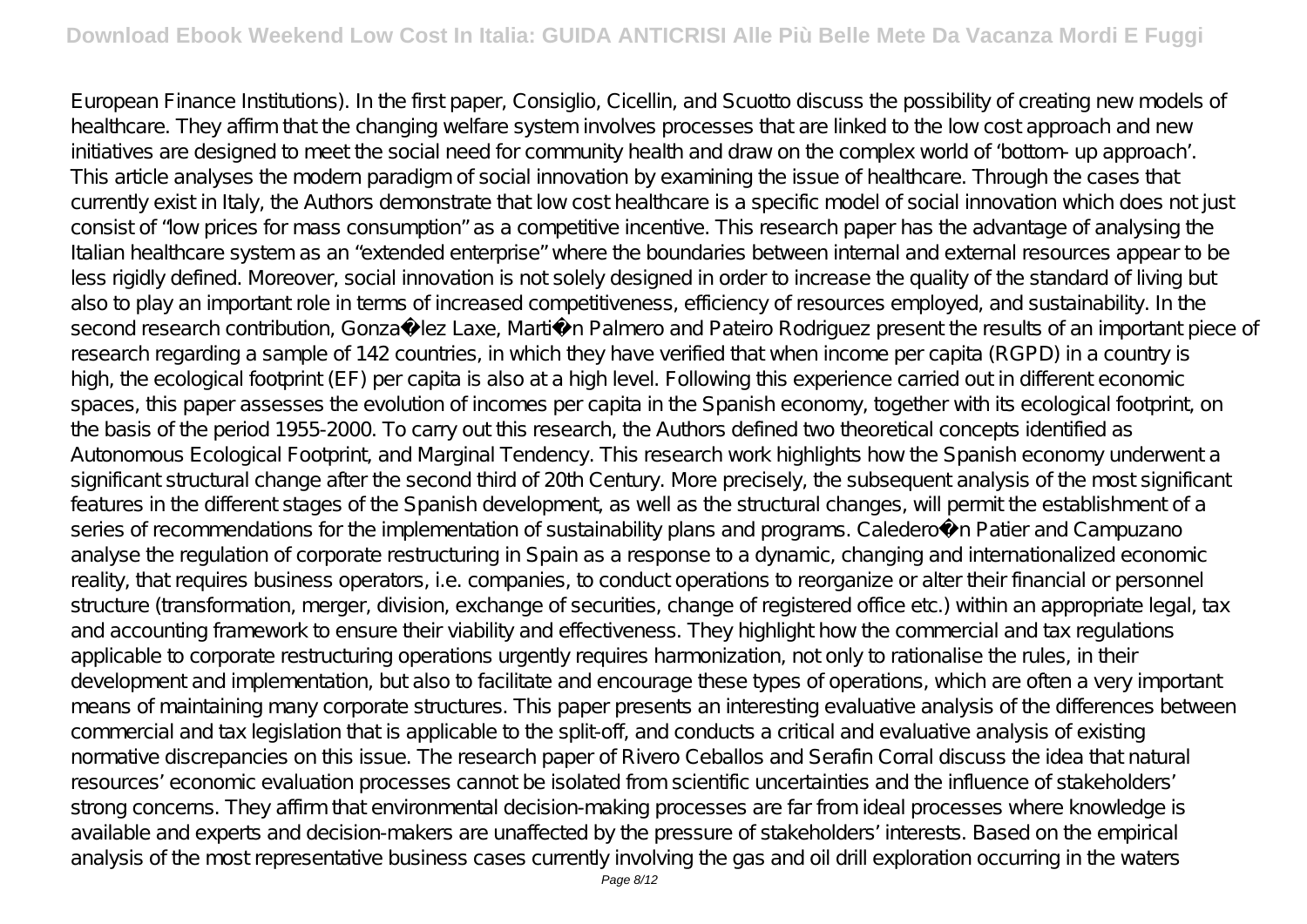European Finance Institutions). In the first paper, Consiglio, Cicellin, and Scuotto discuss the possibility of creating new models of healthcare. They affirm that the changing welfare system involves processes that are linked to the low cost approach and new initiatives are designed to meet the social need for community health and draw on the complex world of 'bottom- up approach'. This article analyses the modern paradigm of social innovation by examining the issue of healthcare. Through the cases that currently exist in Italy, the Authors demonstrate that low cost healthcare is a specific model of social innovation which does not just consist of "low prices for mass consumption" as a competitive incentive. This research paper has the advantage of analysing the Italian healthcare system as an "extended enterprise" where the boundaries between internal and external resources appear to be less rigidly defined. Moreover, social innovation is not solely designed in order to increase the quality of the standard of living but also to play an important role in terms of increased competitiveness, efficiency of resources employed, and sustainability. In the second research contribution, Gonza lez Laxe, Martin Palmero and Pateiro Rodriguez present the results of an important piece of research regarding a sample of 142 countries, in which they have verified that when income per capita (RGPD) in a country is high, the ecological footprint (EF) per capita is also at a high level. Following this experience carried out in different economic spaces, this paper assesses the evolution of incomes per capita in the Spanish economy, together with its ecological footprint, on the basis of the period 1955-2000. To carry out this research, the Authors defined two theoretical concepts identified as Autonomous Ecological Footprint, and Marginal Tendency. This research work highlights how the Spanish economy underwent a significant structural change after the second third of 20th Century. More precisely, the subsequent analysis of the most significant features in the different stages of the Spanish development, as well as the structural changes, will permit the establishment of a series of recommendations for the implementation of sustainability plans and programs. Caledero n Patier and Campuzano analyse the regulation of corporate restructuring in Spain as a response to a dynamic, changing and internationalized economic reality, that requires business operators, i.e. companies, to conduct operations to reorganize or alter their financial or personnel structure (transformation, merger, division, exchange of securities, change of registered office etc.) within an appropriate legal, tax and accounting framework to ensure their viability and effectiveness. They highlight how the commercial and tax regulations applicable to corporate restructuring operations urgently requires harmonization, not only to rationalise the rules, in their development and implementation, but also to facilitate and encourage these types of operations, which are often a very important means of maintaining many corporate structures. This paper presents an interesting evaluative analysis of the differences between commercial and tax legislation that is applicable to the split-off, and conducts a critical and evaluative analysis of existing normative discrepancies on this issue. The research paper of Rivero Ceballos and Serafin Corral discuss the idea that natural resources' economic evaluation processes cannot be isolated from scientific uncertainties and the influence of stakeholders' strong concerns. They affirm that environmental decision-making processes are far from ideal processes where knowledge is available and experts and decision-makers are unaffected by the pressure of stakeholders' interests. Based on the empirical analysis of the most representative business cases currently involving the gas and oil drill exploration occurring in the waters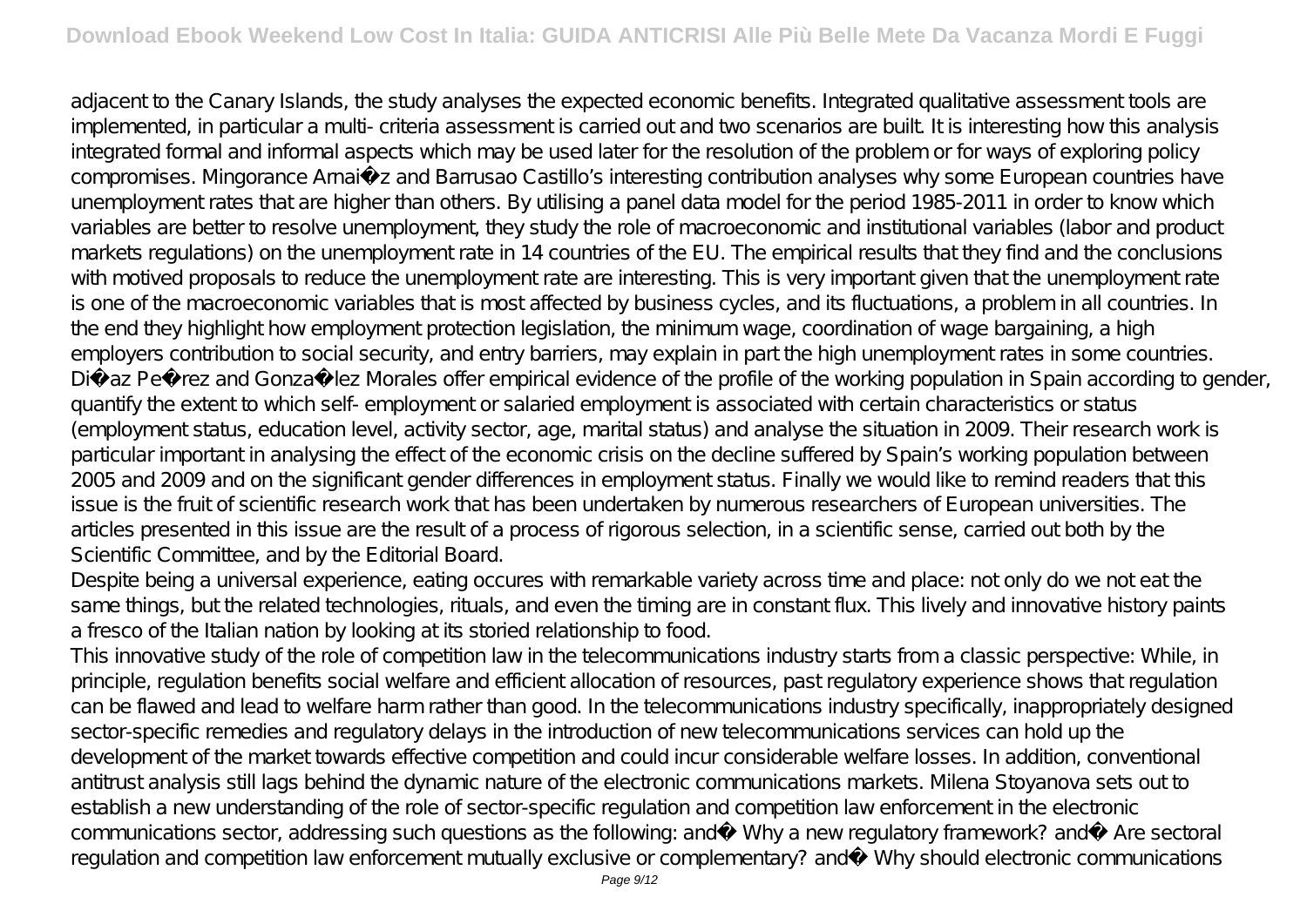adjacent to the Canary Islands, the study analyses the expected economic benefits. Integrated qualitative assessment tools are implemented, in particular a multi- criteria assessment is carried out and two scenarios are built. It is interesting how this analysis integrated formal and informal aspects which may be used later for the resolution of the problem or for ways of exploring policy compromises. Mingorance Arnaiz and Barrusao Castillo's interesting contribution analyses why some European countries have unemployment rates that are higher than others. By utilising a panel data model for the period 1985-2011 in order to know which variables are better to resolve unemployment, they study the role of macroeconomic and institutional variables (labor and product markets regulations) on the unemployment rate in 14 countries of the EU. The empirical results that they find and the conclusions with motived proposals to reduce the unemployment rate are interesting. This is very important given that the unemployment rate is one of the macroeconomic variables that is most affected by business cycles, and its fluctuations, a problem in all countries. In the end they highlight how employment protection legislation, the minimum wage, coordination of wage bargaining, a high employers contribution to social security, and entry barriers, may explain in part the high unemployment rates in some countries. Di az Pe rez and Gonza lez Morales offer empirical evidence of the profile of the working population in Spain according to gender, quantify the extent to which self- employment or salaried employment is associated with certain characteristics or status (employment status, education level, activity sector, age, marital status) and analyse the situation in 2009. Their research work is particular important in analysing the effect of the economic crisis on the decline suffered by Spain's working population between 2005 and 2009 and on the significant gender differences in employment status. Finally we would like to remind readers that this issue is the fruit of scientific research work that has been undertaken by numerous researchers of European universities. The articles presented in this issue are the result of a process of rigorous selection, in a scientific sense, carried out both by the Scientific Committee, and by the Editorial Board.

Despite being a universal experience, eating occures with remarkable variety across time and place: not only do we not eat the same things, but the related technologies, rituals, and even the timing are in constant flux. This lively and innovative history paints a fresco of the Italian nation by looking at its storied relationship to food.

This innovative study of the role of competition law in the telecommunications industry starts from a classic perspective: While, in principle, regulation benefits social welfare and efficient allocation of resources, past regulatory experience shows that regulation can be flawed and lead to welfare harm rather than good. In the telecommunications industry specifically, inappropriately designed sector-specific remedies and regulatory delays in the introduction of new telecommunications services can hold up the development of the market towards effective competition and could incur considerable welfare losses. In addition, conventional antitrust analysis still lags behind the dynamic nature of the electronic communications markets. Milena Stoyanova sets out to establish a new understanding of the role of sector-specific regulation and competition law enforcement in the electronic communications sector, addressing such questions as the following: and Why a new regulatory framework? and Are sectoral regulation and competition law enforcement mutually exclusive or complementary? and Why should electronic communications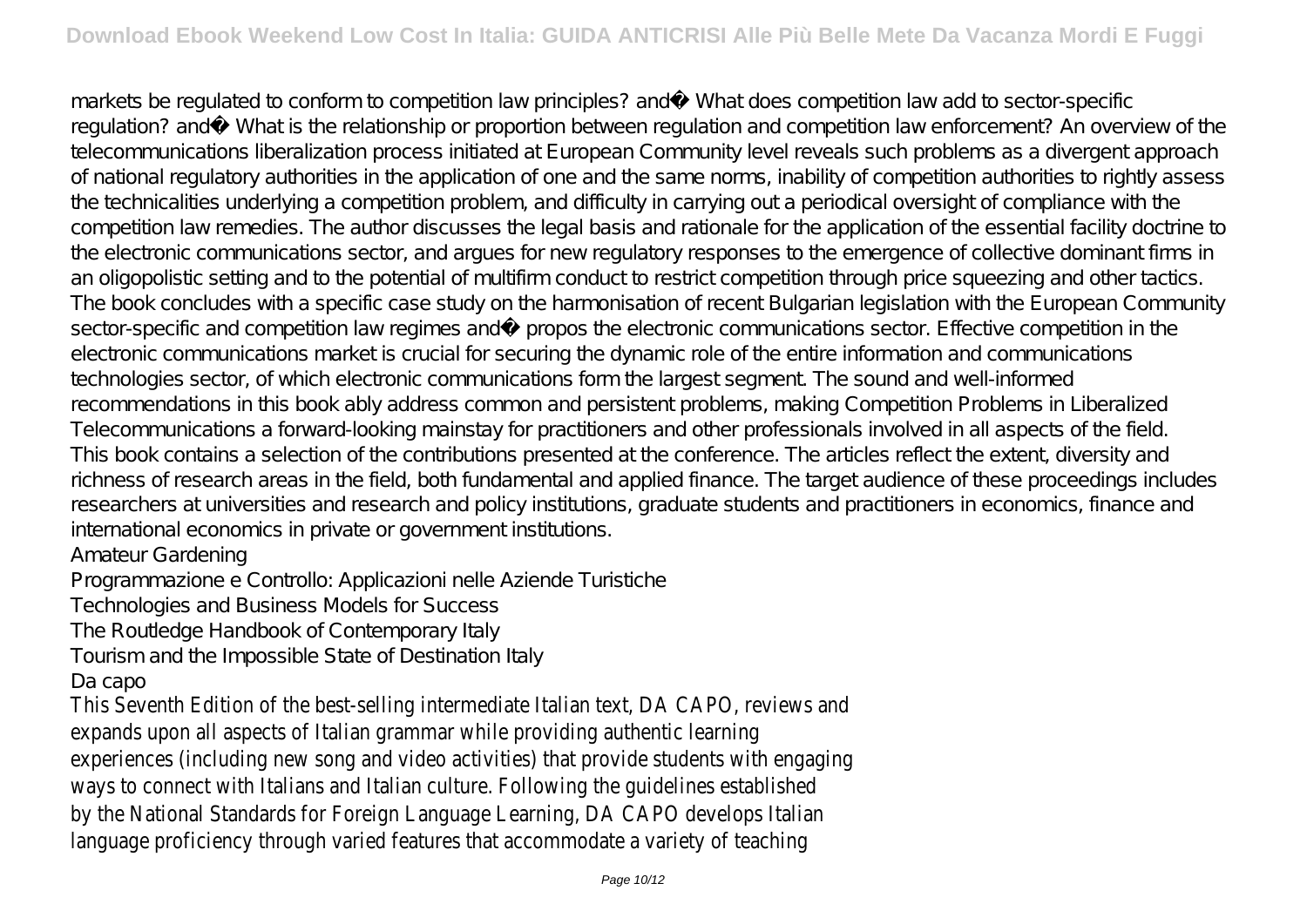markets be regulated to conform to competition law principles? and What does competition law add to sector-specific regulation? and What is the relationship or proportion between regulation and competition law enforcement? An overview of the telecommunications liberalization process initiated at European Community level reveals such problems as a divergent approach of national regulatory authorities in the application of one and the same norms, inability of competition authorities to rightly assess the technicalities underlying a competition problem, and difficulty in carrying out a periodical oversight of compliance with the competition law remedies. The author discusses the legal basis and rationale for the application of the essential facility doctrine to the electronic communications sector, and argues for new regulatory responses to the emergence of collective dominant firms in an oligopolistic setting and to the potential of multifirm conduct to restrict competition through price squeezing and other tactics. The book concludes with a specific case study on the harmonisation of recent Bulgarian legislation with the European Community sector-specific and competition law regimes andà propos the electronic communications sector. Effective competition in the electronic communications market is crucial for securing the dynamic role of the entire information and communications technologies sector, of which electronic communications form the largest segment. The sound and well-informed recommendations in this book ably address common and persistent problems, making Competition Problems in Liberalized Telecommunications a forward-looking mainstay for practitioners and other professionals involved in all aspects of the field. This book contains a selection of the contributions presented at the conference. The articles reflect the extent, diversity and richness of research areas in the field, both fundamental and applied finance. The target audience of these proceedings includes researchers at universities and research and policy institutions, graduate students and practitioners in economics, finance and international economics in private or government institutions.

Amateur Gardening

Programmazione e Controllo: Applicazioni nelle Aziende Turistiche

Technologies and Business Models for Success

The Routledge Handbook of Contemporary Italy

Tourism and the Impossible State of Destination Italy

Da capo

This Seventh Edition of the best-selling intermediate Italian text, DA CAPO, reviews and expands upon all aspects of Italian grammar while providing authentic learning experiences (including new song and video activities) that provide students with engaging ways to connect with Italians and Italian culture. Following the guidelines established by the National Standards for Foreign Language Learning, DA CAPO develops Italian language proficiency through varied features that accommodate a variety of teaching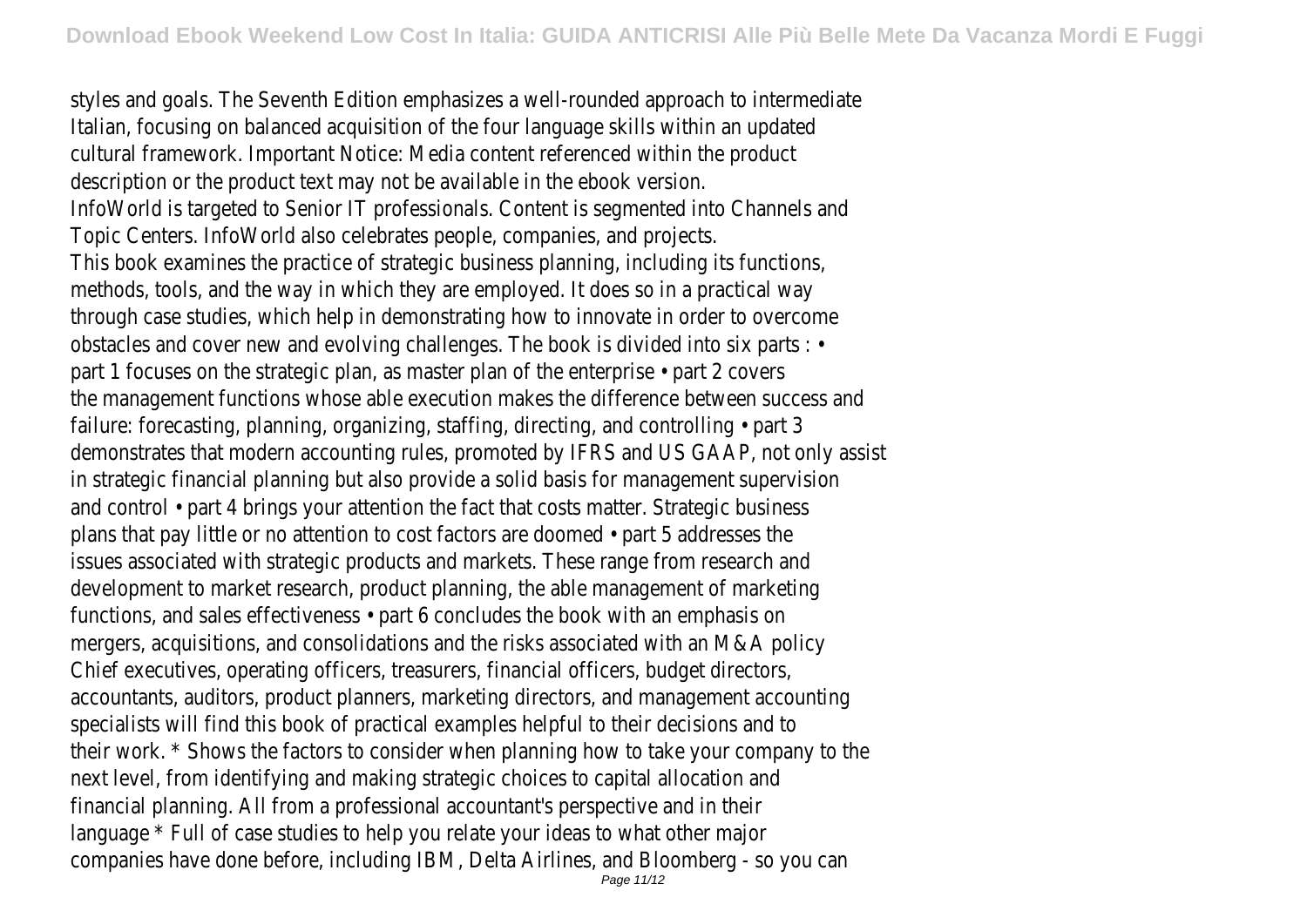styles and goals. The Seventh Edition emphasizes a well-rounded approach to intermediate Italian, focusing on balanced acquisition of the four language skills within an updated cultural framework. Important Notice: Media content referenced within the product description or the product text may not be available in the ebook version. InfoWorld is targeted to Senior IT professionals. Content is segmented into Channels and Topic Centers. InfoWorld also celebrates people, companies, and projects. This book examines the practice of strategic business planning, including its functions, methods, tools, and the way in which they are employed. It does so in a practical way through case studies, which help in demonstrating how to innovate in order to overcome obstacles and cover new and evolving challenges. The book is divided into six parts : • part 1 focuses on the strategic plan, as master plan of the enterprise • part 2 covers the management functions whose able execution makes the difference between success and failure: forecasting, planning, organizing, staffing, directing, and controlling • part 3 demonstrates that modern accounting rules, promoted by IFRS and US GAAP, not only assist in strategic financial planning but also provide a solid basis for management supervision and control • part 4 brings your attention the fact that costs matter. Strategic business plans that pay little or no attention to cost factors are doomed • part 5 addresses the issues associated with strategic products and markets. These range from research and development to market research, product planning, the able management of marketing functions, and sales effectiveness • part 6 concludes the book with an emphasis on mergers, acquisitions, and consolidations and the risks associated with an M&A policy Chief executives, operating officers, treasurers, financial officers, budget directors, accountants, auditors, product planners, marketing directors, and management accounting specialists will find this book of practical examples helpful to their decisions and to their work. \* Shows the factors to consider when planning how to take your company to the next level, from identifying and making strategic choices to capital allocation and financial planning. All from a professional accountant's perspective and in their language \* Full of case studies to help you relate your ideas to what other major companies have done before, including IBM, Delta Airlines, and Bloomberg - so you can